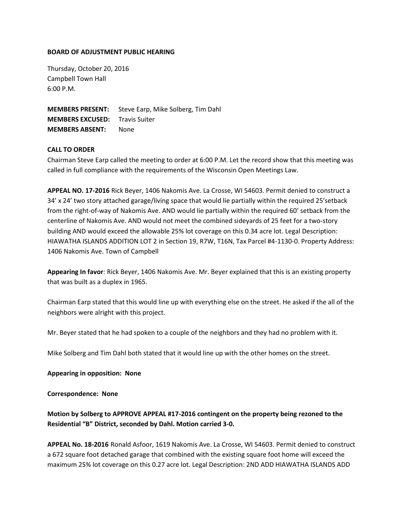## **BOARD OF ADJUSTMENT PUBLIC HEARING**

Thursday, October 20, 2016 Campbell Town Hall 6:00 P.M.

**MEMBERS PRESENT:** Steve Earp, Mike Solberg, Tim Dahl **MEMBERS EXCUSED:** Travis Suiter **MEMBERS ABSENT:** None

# **CALL TO ORDER**

Chairman Steve Earp called the meeting to order at 6:00 P.M. Let the record show that this meeting was called in full compliance with the requirements of the Wisconsin Open Meetings Law.

**APPEAL NO. 17-2016** Rick Beyer, 1406 Nakomis Ave. La Crosse, WI 54603. Permit denied to construct a 34' x 24' two story attached garage/living space that would lie partially within the required 25'setback from the right-of-way of Nakomis Ave. AND would lie partially within the required 60' setback from the centerline of Nakomis Ave. AND would not meet the combined sideyards of 25 feet for a two-story building AND would exceed the allowable 25% lot coverage on this 0.34 acre lot. Legal Description: HIAWATHA ISLANDS ADDITION LOT 2 in Section 19, R7W, T16N, Tax Parcel #4-1130-0. Property Address: 1406 Nakomis Ave. Town of Campbell

**Appearing In favor**: Rick Beyer, 1406 Nakomis Ave. Mr. Beyer explained that this is an existing property that was built as a duplex in 1965.

Chairman Earp stated that this would line up with everything else on the street. He asked if the all of the neighbors were alright with this project.

Mr. Beyer stated that he had spoken to a couple of the neighbors and they had no problem with it.

Mike Solberg and Tim Dahl both stated that it would line up with the other homes on the street.

### **Appearing in opposition: None**

### **Correspondence: None**

# **Motion by Solberg to APPROVE APPEAL #17-2016 contingent on the property being rezoned to the Residential "B" District, seconded by Dahl. Motion carried 3-0.**

**APPEAL No. 18-2016** Ronald Asfoor, 1619 Nakomis Ave. La Crosse, WI 54603. Permit denied to construct a 672 square foot detached garage that combined with the existing square foot home will exceed the maximum 25% lot coverage on this 0.27 acre lot. Legal Description: 2ND ADD HIAWATHA ISLANDS ADD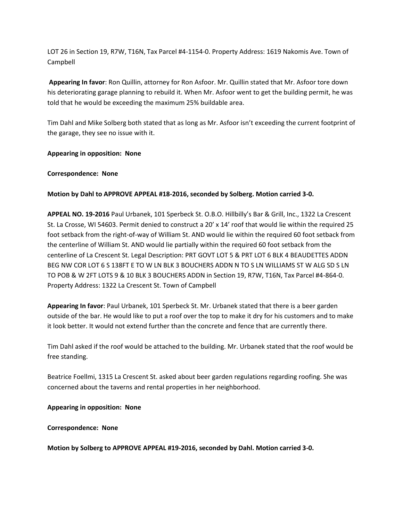LOT 26 in Section 19, R7W, T16N, Tax Parcel #4-1154-0. Property Address: 1619 Nakomis Ave. Town of Campbell

**Appearing In favor**: Ron Quillin, attorney for Ron Asfoor. Mr. Quillin stated that Mr. Asfoor tore down his deteriorating garage planning to rebuild it. When Mr. Asfoor went to get the building permit, he was told that he would be exceeding the maximum 25% buildable area.

Tim Dahl and Mike Solberg both stated that as long as Mr. Asfoor isn't exceeding the current footprint of the garage, they see no issue with it.

# **Appearing in opposition: None**

## **Correspondence: None**

## **Motion by Dahl to APPROVE APPEAL #18-2016, seconded by Solberg. Motion carried 3-0.**

**APPEAL NO. 19-2016** Paul Urbanek, 101 Sperbeck St. O.B.O. Hillbilly's Bar & Grill, Inc., 1322 La Crescent St. La Crosse, WI 54603. Permit denied to construct a 20' x 14' roof that would lie within the required 25 foot setback from the right-of-way of William St. AND would lie within the required 60 foot setback from the centerline of William St. AND would lie partially within the required 60 foot setback from the centerline of La Crescent St. Legal Description: PRT GOVT LOT 5 & PRT LOT 6 BLK 4 BEAUDETTES ADDN BEG NW COR LOT 6 S 138FT E TO W LN BLK 3 BOUCHERS ADDN N TO S LN WILLIAMS ST W ALG SD S LN TO POB & W 2FT LOTS 9 & 10 BLK 3 BOUCHERS ADDN in Section 19, R7W, T16N, Tax Parcel #4-864-0. Property Address: 1322 La Crescent St. Town of Campbell

**Appearing In favor**: Paul Urbanek, 101 Sperbeck St. Mr. Urbanek stated that there is a beer garden outside of the bar. He would like to put a roof over the top to make it dry for his customers and to make it look better. It would not extend further than the concrete and fence that are currently there.

Tim Dahl asked if the roof would be attached to the building. Mr. Urbanek stated that the roof would be free standing.

Beatrice Foellmi, 1315 La Crescent St. asked about beer garden regulations regarding roofing. She was concerned about the taverns and rental properties in her neighborhood.

### **Appearing in opposition: None**

### **Correspondence: None**

**Motion by Solberg to APPROVE APPEAL #19-2016, seconded by Dahl. Motion carried 3-0.**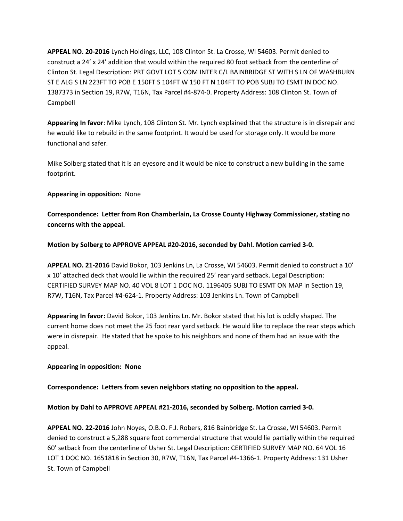**APPEAL NO. 20-2016** Lynch Holdings, LLC, 108 Clinton St. La Crosse, WI 54603. Permit denied to construct a 24' x 24' addition that would within the required 80 foot setback from the centerline of Clinton St. Legal Description: PRT GOVT LOT 5 COM INTER C/L BAINBRIDGE ST WITH S LN OF WASHBURN ST E ALG S LN 223FT TO POB E 150FT S 104FT W 150 FT N 104FT TO POB SUBJ TO ESMT IN DOC NO. 1387373 in Section 19, R7W, T16N, Tax Parcel #4-874-0. Property Address: 108 Clinton St. Town of Campbell

**Appearing In favor**: Mike Lynch, 108 Clinton St. Mr. Lynch explained that the structure is in disrepair and he would like to rebuild in the same footprint. It would be used for storage only. It would be more functional and safer.

Mike Solberg stated that it is an eyesore and it would be nice to construct a new building in the same footprint.

# **Appearing in opposition:** None

**Correspondence: Letter from Ron Chamberlain, La Crosse County Highway Commissioner, stating no concerns with the appeal.** 

**Motion by Solberg to APPROVE APPEAL #20-2016, seconded by Dahl. Motion carried 3-0.**

**APPEAL NO. 21-2016** David Bokor, 103 Jenkins Ln, La Crosse, WI 54603. Permit denied to construct a 10' x 10' attached deck that would lie within the required 25' rear yard setback. Legal Description: CERTIFIED SURVEY MAP NO. 40 VOL 8 LOT 1 DOC NO. 1196405 SUBJ TO ESMT ON MAP in Section 19, R7W, T16N, Tax Parcel #4-624-1. Property Address: 103 Jenkins Ln. Town of Campbell

**Appearing In favor:** David Bokor, 103 Jenkins Ln. Mr. Bokor stated that his lot is oddly shaped. The current home does not meet the 25 foot rear yard setback. He would like to replace the rear steps which were in disrepair. He stated that he spoke to his neighbors and none of them had an issue with the appeal.

# **Appearing in opposition: None**

**Correspondence: Letters from seven neighbors stating no opposition to the appeal.** 

**Motion by Dahl to APPROVE APPEAL #21-2016, seconded by Solberg. Motion carried 3-0.** 

**APPEAL NO. 22-2016** John Noyes, O.B.O. F.J. Robers, 816 Bainbridge St. La Crosse, WI 54603. Permit denied to construct a 5,288 square foot commercial structure that would lie partially within the required 60' setback from the centerline of Usher St. Legal Description: CERTIFIED SURVEY MAP NO. 64 VOL 16 LOT 1 DOC NO. 1651818 in Section 30, R7W, T16N, Tax Parcel #4-1366-1. Property Address: 131 Usher St. Town of Campbell